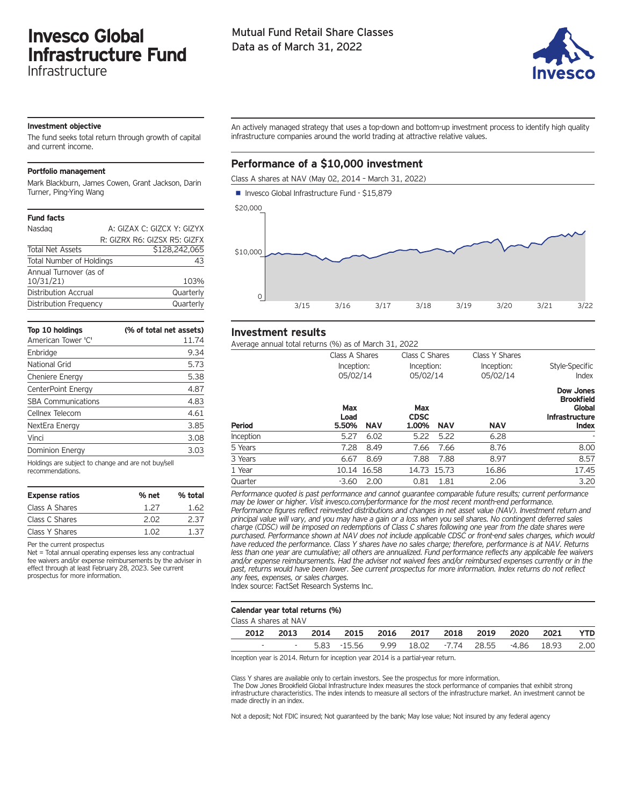# **Invesco Global Infrastructure Fund**

Infrastructure

# Mutual Fund Retail Share Classes Data as of March 31, 2022



## **Investment objective**

The fund seeks total return through growth of capital and current income.

### **Portfolio management**

Mark Blackburn, James Cowen, Grant Jackson, Darin Turner, Ping-Ying Wang

| <b>Fund facts</b>               |                              |
|---------------------------------|------------------------------|
| Nasdag                          | A: GIZAX C: GIZCX Y: GIZYX   |
|                                 | R: GIZRX R6: GIZSX R5: GIZFX |
| <b>Total Net Assets</b>         | \$128,242,065                |
| <b>Total Number of Holdings</b> | 43                           |
| Annual Turnover (as of          |                              |
| 10/31/21                        | 103%                         |
| Distribution Accrual            | Quarterly                    |
| Distribution Frequency          | Quarterly                    |
|                                 |                              |

| Top 10 holdings<br>American Tower 'C' | (% of total net assets)<br>11.74 |
|---------------------------------------|----------------------------------|
| Enbridge                              | 9.34                             |
| National Grid                         | 5.73                             |
| Cheniere Energy                       | 5.38                             |
| CenterPoint Energy                    | 4.87                             |
| <b>SBA Communications</b>             | 4.83                             |
| Cellnex Telecom                       | 4.61                             |
| NextEra Energy                        | 3.85                             |
| Vinci                                 | 3.08                             |
| Dominion Energy                       | 3.03                             |

Holdings are subject to change and are not buy/sell recommendations.

| % net | % total |
|-------|---------|
| 1.27  | 1.62    |
| 2.02  | 2 37    |
| 1 N 2 | 1 37    |
|       |         |

Per the current prospectus

Net = Total annual operating expenses less any contractual fee waivers and/or expense reimbursements by the adviser in effect through at least February 28, 2023. See current prospectus for more information.

An actively managed strategy that uses a top-down and bottom-up investment process to identify high quality infrastructure companies around the world trading at attractive relative values.

# **Performance of a \$10,000 investment**

Class A shares at NAV (May 02, 2014 – March 31, 2022)



## **Investment results**

Average annual total returns (%) as of March 31, 2022

| Average annuar total returns (70) as or march 31, 2022. |                                          |                                           |                                          |                                                                                   |  |
|---------------------------------------------------------|------------------------------------------|-------------------------------------------|------------------------------------------|-----------------------------------------------------------------------------------|--|
|                                                         | Class A Shares<br>Inception:<br>05/02/14 | Class C Shares<br>Inception:<br>05/02/14  | Class Y Shares<br>Inception:<br>05/02/14 | Style-Specific<br>Index                                                           |  |
| Period                                                  | Max<br>Load<br>5.50%<br><b>NAV</b>       | Max<br><b>CDSC</b><br>1.00%<br><b>NAV</b> | <b>NAV</b>                               | Dow Jones<br><b>Brookfield</b><br>Global<br><b>Infrastructure</b><br><b>Index</b> |  |
| Inception                                               | 5.27<br>6.02                             | 5.22<br>5.22                              | 6.28                                     |                                                                                   |  |
| 5 Years                                                 | 7.28<br>8.49                             | 7.66<br>7.66                              | 8.76                                     | 8.00                                                                              |  |
| 3 Years                                                 | 8.69<br>6.67                             | 7.88<br>7.88                              | 8.97                                     | 8.57                                                                              |  |
| 1 Year                                                  | 10.14 16.58                              | 14.73 15.73                               | 16.86                                    | 17.45                                                                             |  |
| Quarter                                                 | 2.00<br>$-3.60$                          | 0.81<br>1.81                              | 2.06                                     | 3.20                                                                              |  |
|                                                         |                                          |                                           |                                          |                                                                                   |  |

*Performance quoted is past performance and cannot guarantee comparable future results; current performance may be lower or higher. Visit invesco.com/performance for the most recent month-end performance. Performance figures reflect reinvested distributions and changes in net asset value (NAV). Investment return and* principal value will vary, and you may have a gain or a loss when you sell shares. No contingent deferred sales charge (CDSC) will be imposed on redemptions of Class C shares following one year from the date shares were *purchased. Performance shown at NAV does not include applicable CDSC or front-end sales charges, which would* have reduced the performance. Class Y shares have no sales charge; therefore, performance is at NAV. Returns less than one year are cumulative; all others are annualized. Fund performance reflects any applicable fee waivers *and/or expense reimbursements. Had the adviser not waived fees and/or reimbursed expenses currently or in the* past, returns would have been lower. See current prospectus for more information. Index returns do not reflect *any fees, expenses, or sales charges.*

Index source: FactSet Research Systems Inc.

#### **Calendar year total returns (%)**

| Class A shares at NAV |           |                                                    |  |  |           |            |
|-----------------------|-----------|----------------------------------------------------|--|--|-----------|------------|
| 2012                  | 2013 2014 | 2015 2016 2017 2018 2019                           |  |  | 2020 2021 | <b>YTD</b> |
| $\sim$                |           | $-$ 5.83 -15.56 9.99 18.02 -7.74 28.55 -4.86 18.93 |  |  |           | 2.00       |

Inception year is 2014. Return for inception year 2014 is a partial-year return.

Class Y shares are available only to certain investors. See the prospectus for more information. The Dow Jones Brookfield Global Infrastructure Index measures the stock performance of companies that exhibit strong infrastructure characteristics. The index intends to measure all sectors of the infrastructure market. An investment cannot be made directly in an index.

Not a deposit; Not FDIC insured; Not guaranteed by the bank; May lose value; Not insured by any federal agency